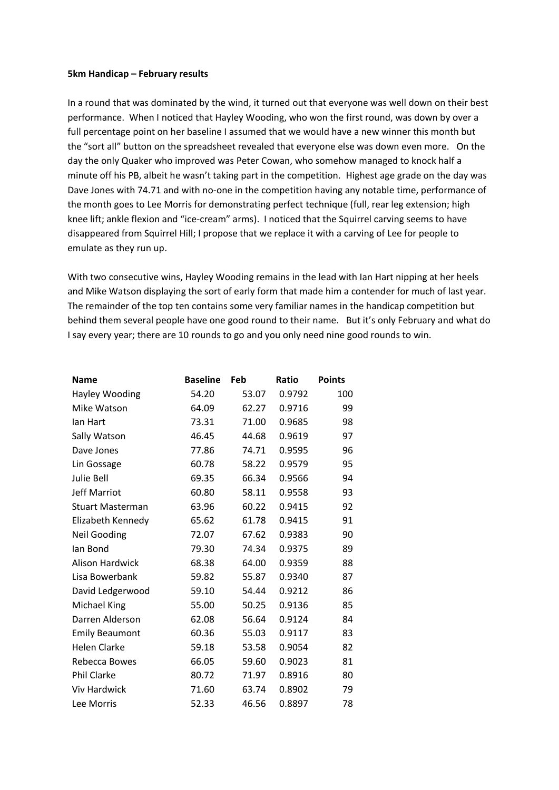## **5km Handicap – February results**

In a round that was dominated by the wind, it turned out that everyone was well down on their best performance. When I noticed that Hayley Wooding, who won the first round, was down by over a full percentage point on her baseline I assumed that we would have a new winner this month but the "sort all" button on the spreadsheet revealed that everyone else was down even more. On the day the only Quaker who improved was Peter Cowan, who somehow managed to knock half a minute off his PB, albeit he wasn't taking part in the competition. Highest age grade on the day was Dave Jones with 74.71 and with no-one in the competition having any notable time, performance of the month goes to Lee Morris for demonstrating perfect technique (full, rear leg extension; high knee lift; ankle flexion and "ice-cream" arms). I noticed that the Squirrel carving seems to have disappeared from Squirrel Hill; I propose that we replace it with a carving of Lee for people to emulate as they run up.

With two consecutive wins, Hayley Wooding remains in the lead with Ian Hart nipping at her heels and Mike Watson displaying the sort of early form that made him a contender for much of last year. The remainder of the top ten contains some very familiar names in the handicap competition but behind them several people have one good round to their name. But it's only February and what do I say every year; there are 10 rounds to go and you only need nine good rounds to win.

| <b>Name</b>             | <b>Baseline</b> | Feb   | Ratio  | <b>Points</b> |
|-------------------------|-----------------|-------|--------|---------------|
| Hayley Wooding          | 54.20           | 53.07 | 0.9792 | 100           |
| Mike Watson             | 64.09           | 62.27 | 0.9716 | 99            |
| lan Hart                | 73.31           | 71.00 | 0.9685 | 98            |
| Sally Watson            | 46.45           | 44.68 | 0.9619 | 97            |
| Dave Jones              | 77.86           | 74.71 | 0.9595 | 96            |
| Lin Gossage             | 60.78           | 58.22 | 0.9579 | 95            |
| <b>Julie Bell</b>       | 69.35           | 66.34 | 0.9566 | 94            |
| <b>Jeff Marriot</b>     | 60.80           | 58.11 | 0.9558 | 93            |
| <b>Stuart Masterman</b> | 63.96           | 60.22 | 0.9415 | 92            |
| Elizabeth Kennedy       | 65.62           | 61.78 | 0.9415 | 91            |
| <b>Neil Gooding</b>     | 72.07           | 67.62 | 0.9383 | 90            |
| lan Bond                | 79.30           | 74.34 | 0.9375 | 89            |
| Alison Hardwick         | 68.38           | 64.00 | 0.9359 | 88            |
| Lisa Bowerbank          | 59.82           | 55.87 | 0.9340 | 87            |
| David Ledgerwood        | 59.10           | 54.44 | 0.9212 | 86            |
| Michael King            | 55.00           | 50.25 | 0.9136 | 85            |
| Darren Alderson         | 62.08           | 56.64 | 0.9124 | 84            |
| <b>Emily Beaumont</b>   | 60.36           | 55.03 | 0.9117 | 83            |
| <b>Helen Clarke</b>     | 59.18           | 53.58 | 0.9054 | 82            |
| Rebecca Bowes           | 66.05           | 59.60 | 0.9023 | 81            |
| <b>Phil Clarke</b>      | 80.72           | 71.97 | 0.8916 | 80            |
| <b>Viv Hardwick</b>     | 71.60           | 63.74 | 0.8902 | 79            |
| Lee Morris              | 52.33           | 46.56 | 0.8897 | 78            |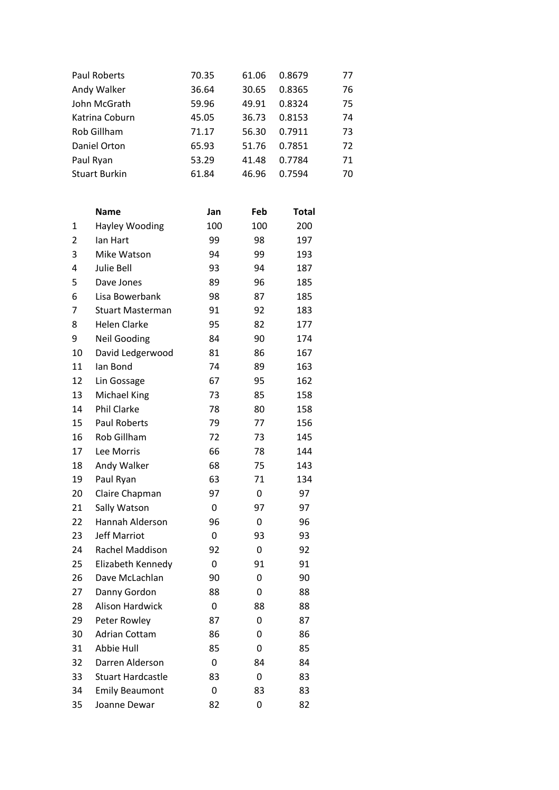| Paul Roberts         | 70.35 | 61.06 | 0.8679 | 77 |
|----------------------|-------|-------|--------|----|
| Andy Walker          | 36.64 | 30.65 | 0.8365 | 76 |
| John McGrath         | 59.96 | 49.91 | 0.8324 | 75 |
| Katrina Coburn       | 45.05 | 36.73 | 0.8153 | 74 |
| Rob Gillham          | 71.17 | 56.30 | 0.7911 | 73 |
| Daniel Orton         | 65.93 | 51.76 | 0.7851 | 72 |
| Paul Ryan            | 53.29 | 41.48 | 0.7784 | 71 |
| <b>Stuart Burkin</b> | 61.84 | 46.96 | 0.7594 | 70 |
|                      |       |       |        |    |

|                | <b>Name</b>              | Jan | Feb | <b>Total</b> |
|----------------|--------------------------|-----|-----|--------------|
| 1              | <b>Hayley Wooding</b>    | 100 | 100 | 200          |
| $\overline{2}$ | lan Hart                 | 99  | 98  | 197          |
| 3              | Mike Watson              | 94  | 99  | 193          |
| 4              | Julie Bell               | 93  | 94  | 187          |
| 5              | Dave Jones               | 89  | 96  | 185          |
| 6              | Lisa Bowerbank           | 98  | 87  | 185          |
| 7              | <b>Stuart Masterman</b>  | 91  | 92  | 183          |
| 8              | <b>Helen Clarke</b>      | 95  | 82  | 177          |
| 9              | <b>Neil Gooding</b>      | 84  | 90  | 174          |
| 10             | David Ledgerwood         | 81  | 86  | 167          |
| 11             | lan Bond                 | 74  | 89  | 163          |
| 12             | Lin Gossage              | 67  | 95  | 162          |
| 13             | <b>Michael King</b>      | 73  | 85  | 158          |
| 14             | Phil Clarke              | 78  | 80  | 158          |
| 15             | <b>Paul Roberts</b>      | 79  | 77  | 156          |
| 16             | Rob Gillham              | 72  | 73  | 145          |
| 17             | Lee Morris               | 66  | 78  | 144          |
| 18             | Andy Walker              | 68  | 75  | 143          |
| 19             | Paul Ryan                | 63  | 71  | 134          |
| 20             | Claire Chapman           | 97  | 0   | 97           |
| 21             | Sally Watson             | 0   | 97  | 97           |
| 22             | Hannah Alderson          | 96  | 0   | 96           |
| 23             | <b>Jeff Marriot</b>      | 0   | 93  | 93           |
| 24             | Rachel Maddison          | 92  | 0   | 92           |
| 25             | Elizabeth Kennedy        | 0   | 91  | 91           |
| 26             | Dave McLachlan           | 90  | 0   | 90           |
| 27             | Danny Gordon             | 88  | 0   | 88           |
| 28             | Alison Hardwick          | 0   | 88  | 88           |
| 29             | Peter Rowley             | 87  | 0   | 87           |
| 30             | <b>Adrian Cottam</b>     | 86  | 0   | 86           |
| 31             | <b>Abbie Hull</b>        | 85  | 0   | 85           |
| 32             | Darren Alderson          | 0   | 84  | 84           |
| 33             | <b>Stuart Hardcastle</b> | 83  | 0   | 83           |
| 34             | <b>Emily Beaumont</b>    | 0   | 83  | 83           |
| 35             | Joanne Dewar             | 82  | 0   | 82           |